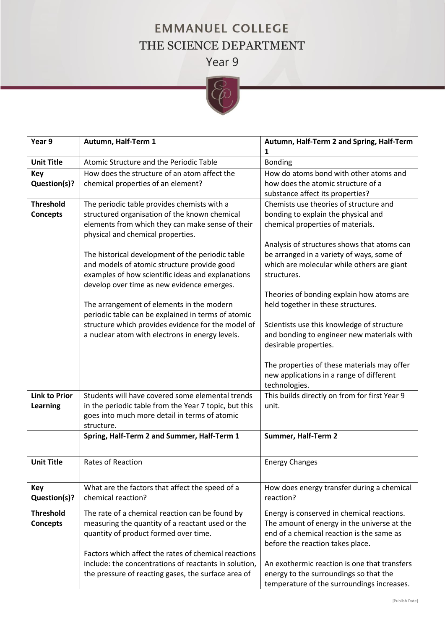## **EMMANUEL COLLEGE** THE SCIENCE DEPARTMENT

Year 9



| Year 9               | Autumn, Half-Term 1                                   | Autumn, Half-Term 2 and Spring, Half-Term                      |
|----------------------|-------------------------------------------------------|----------------------------------------------------------------|
|                      |                                                       | 1                                                              |
| <b>Unit Title</b>    | Atomic Structure and the Periodic Table               | <b>Bonding</b>                                                 |
| <b>Key</b>           | How does the structure of an atom affect the          | How do atoms bond with other atoms and                         |
| Question(s)?         | chemical properties of an element?                    | how does the atomic structure of a                             |
|                      |                                                       | substance affect its properties?                               |
| <b>Threshold</b>     | The periodic table provides chemists with a           | Chemists use theories of structure and                         |
| <b>Concepts</b>      | structured organisation of the known chemical         | bonding to explain the physical and                            |
|                      | elements from which they can make sense of their      | chemical properties of materials.                              |
|                      | physical and chemical properties.                     |                                                                |
|                      |                                                       | Analysis of structures shows that atoms can                    |
|                      | The historical development of the periodic table      | be arranged in a variety of ways, some of                      |
|                      | and models of atomic structure provide good           | which are molecular while others are giant                     |
|                      | examples of how scientific ideas and explanations     | structures.                                                    |
|                      | develop over time as new evidence emerges.            |                                                                |
|                      |                                                       | Theories of bonding explain how atoms are                      |
|                      | The arrangement of elements in the modern             | held together in these structures.                             |
|                      | periodic table can be explained in terms of atomic    |                                                                |
|                      | structure which provides evidence for the model of    | Scientists use this knowledge of structure                     |
|                      | a nuclear atom with electrons in energy levels.       | and bonding to engineer new materials with                     |
|                      |                                                       | desirable properties.                                          |
|                      |                                                       |                                                                |
|                      |                                                       | The properties of these materials may offer                    |
|                      |                                                       | new applications in a range of different                       |
| <b>Link to Prior</b> | Students will have covered some elemental trends      | technologies.<br>This builds directly on from for first Year 9 |
| <b>Learning</b>      | in the periodic table from the Year 7 topic, but this | unit.                                                          |
|                      | goes into much more detail in terms of atomic         |                                                                |
|                      | structure.                                            |                                                                |
|                      | Spring, Half-Term 2 and Summer, Half-Term 1           | Summer, Half-Term 2                                            |
|                      |                                                       |                                                                |
|                      |                                                       |                                                                |
| <b>Unit Title</b>    | <b>Rates of Reaction</b>                              | <b>Energy Changes</b>                                          |
|                      |                                                       |                                                                |
| <b>Key</b>           | What are the factors that affect the speed of a       | How does energy transfer during a chemical                     |
| Question(s)?         | chemical reaction?                                    | reaction?                                                      |
|                      |                                                       |                                                                |
| <b>Threshold</b>     | The rate of a chemical reaction can be found by       | Energy is conserved in chemical reactions.                     |
| <b>Concepts</b>      | measuring the quantity of a reactant used or the      | The amount of energy in the universe at the                    |
|                      | quantity of product formed over time.                 | end of a chemical reaction is the same as                      |
|                      |                                                       | before the reaction takes place.                               |
|                      | Factors which affect the rates of chemical reactions  |                                                                |
|                      | include: the concentrations of reactants in solution, | An exothermic reaction is one that transfers                   |
|                      | the pressure of reacting gases, the surface area of   | energy to the surroundings so that the                         |
|                      |                                                       | temperature of the surroundings increases.                     |